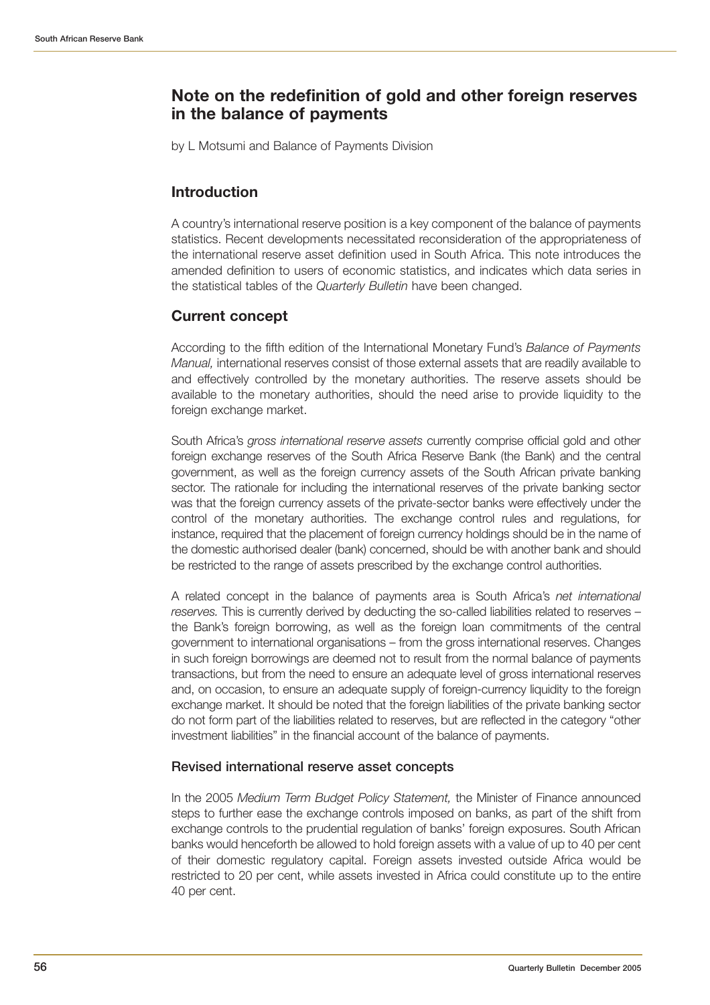# **Note on the redefinition of gold and other foreign reserves in the balance of payments**

by L Motsumi and Balance of Payments Division

## **Introduction**

A country's international reserve position is a key component of the balance of payments statistics. Recent developments necessitated reconsideration of the appropriateness of the international reserve asset definition used in South Africa. This note introduces the amended definition to users of economic statistics, and indicates which data series in the statistical tables of the *Quarterly Bulletin* have been changed.

## **Current concept**

According to the fifth edition of the International Monetary Fund's *Balance of Payments Manual,* international reserves consist of those external assets that are readily available to and effectively controlled by the monetary authorities. The reserve assets should be available to the monetary authorities, should the need arise to provide liquidity to the foreign exchange market.

South Africa's *gross international reserve assets* currently comprise official gold and other foreign exchange reserves of the South Africa Reserve Bank (the Bank) and the central government, as well as the foreign currency assets of the South African private banking sector. The rationale for including the international reserves of the private banking sector was that the foreign currency assets of the private-sector banks were effectively under the control of the monetary authorities. The exchange control rules and regulations, for instance, required that the placement of foreign currency holdings should be in the name of the domestic authorised dealer (bank) concerned, should be with another bank and should be restricted to the range of assets prescribed by the exchange control authorities.

A related concept in the balance of payments area is South Africa's *net international reserves.* This is currently derived by deducting the so-called liabilities related to reserves – the Bank's foreign borrowing, as well as the foreign loan commitments of the central government to international organisations – from the gross international reserves. Changes in such foreign borrowings are deemed not to result from the normal balance of payments transactions, but from the need to ensure an adequate level of gross international reserves and, on occasion, to ensure an adequate supply of foreign-currency liquidity to the foreign exchange market. It should be noted that the foreign liabilities of the private banking sector do not form part of the liabilities related to reserves, but are reflected in the category "other investment liabilities" in the financial account of the balance of payments.

### **Revised international reserve asset concepts**

In the 2005 *Medium Term Budget Policy Statement,* the Minister of Finance announced steps to further ease the exchange controls imposed on banks, as part of the shift from exchange controls to the prudential regulation of banks' foreign exposures. South African banks would henceforth be allowed to hold foreign assets with a value of up to 40 per cent of their domestic regulatory capital. Foreign assets invested outside Africa would be restricted to 20 per cent, while assets invested in Africa could constitute up to the entire 40 per cent.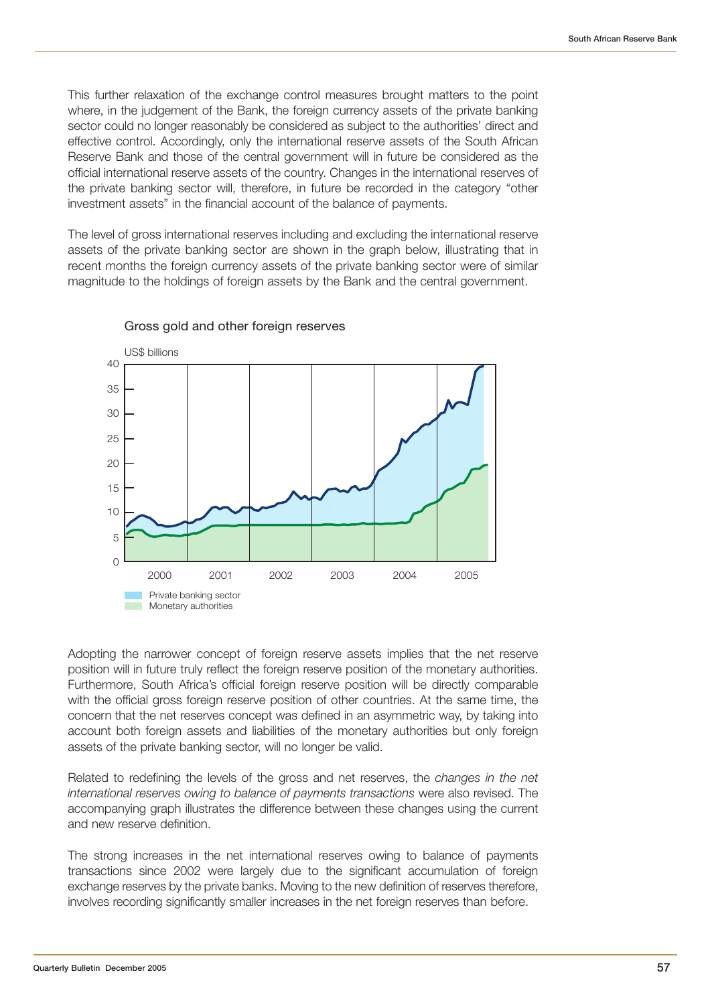This further relaxation of the exchange control measures brought matters to the point where, in the judgement of the Bank, the foreign currency assets of the private banking sector could no longer reasonably be considered as subject to the authorities' direct and effective control. Accordingly, only the international reserve assets of the South African Reserve Bank and those of the central government will in future be considered as the official international reserve assets of the country. Changes in the international reserves of the private banking sector will, therefore, in future be recorded in the category "other investment assets" in the financial account of the balance of payments.

The level of gross international reserves including and excluding the international reserve assets of the private banking sector are shown in the graph below, illustrating that in recent months the foreign currency assets of the private banking sector were of similar magnitude to the holdings of foreign assets by the Bank and the central government.



#### Gross gold and other foreign reserves

Adopting the narrower concept of foreign reserve assets implies that the net reserve position will in future truly reflect the foreign reserve position of the monetary authorities. Furthermore, South Africa's official foreign reserve position will be directly comparable with the official gross foreign reserve position of other countries. At the same time, the concern that the net reserves concept was defined in an asymmetric way, by taking into account both foreign assets and liabilities of the monetary authorities but only foreign assets of the private banking sector, will no longer be valid.

Related to redefining the levels of the gross and net reserves, the *changes in the net international reserves owing to balance of payments transactions* were also revised. The accompanying graph illustrates the difference between these changes using the current and new reserve definition.

The strong increases in the net international reserves owing to balance of payments transactions since 2002 were largely due to the significant accumulation of foreign exchange reserves by the private banks. Moving to the new definition of reserves therefore, involves recording significantly smaller increases in the net foreign reserves than before.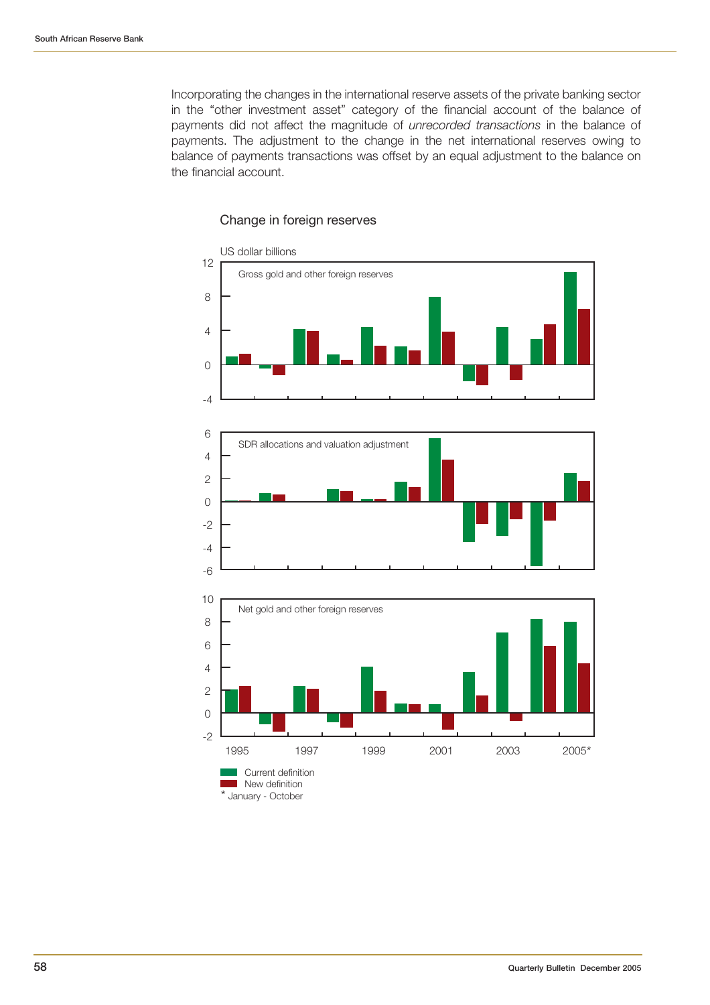Incorporating the changes in the international reserve assets of the private banking sector in the "other investment asset" category of the financial account of the balance of payments did not affect the magnitude of *unrecorded transactions* in the balance of payments. The adjustment to the change in the net international reserves owing to balance of payments transactions was offset by an equal adjustment to the balance on the financial account.



#### Change in foreign reserves

\* January - October